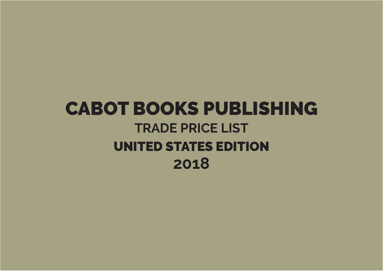## CABOT BOOKS PUBLISHING **TRADE PRICE LIST** UNITED STATES EDITION **2018**

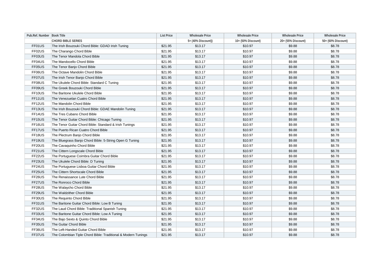| Pub.Ref. Number Book Title |                                                               | <b>List Price</b> | <b>Wholesale Price</b> | <b>Wholesale Price</b> | <b>Wholesale Price</b> | <b>Wholesale Price</b> |
|----------------------------|---------------------------------------------------------------|-------------------|------------------------|------------------------|------------------------|------------------------|
|                            | <b>CHORD BIBLE SERIES</b>                                     |                   | 5+ (40% Discount))     | 10+ (50% Discount)     | 20+ (55% Discount)     | 50+ (60% Discount)     |
| FF01US                     | The Irish Bouzouki Chord Bible: GDAD Irish Tuning             | \$21.95           | \$13.17                | \$10.97                | \$9.88                 | \$8.78                 |
| FF02US                     | The Charango Chord Bible                                      | \$21.95           | \$13.17                | \$10.97                | \$9.88                 | \$8.78                 |
| FF03US                     | The Tenor Mandola Chord Bible                                 | \$21.95           | \$13.17                | \$10.97                | \$9.88                 | \$8.78                 |
| FF04US                     | The Mandocello Chord Bible                                    | \$21.95           | \$13.17                | \$10.97                | \$9.88                 | \$8.78                 |
| FF05US                     | The Tenor Banjo Chord Bible                                   | \$21.95           | \$13.17                | \$10.97                | \$9.88                 | \$8.78                 |
| FF06US                     | The Octave Mandolin Chord Bible                               | \$21.95           | \$13.17                | \$10.97                | \$9.88                 | \$8.78                 |
| FF07US                     | The Irish Tenor Banjo Chord Bible                             | \$21.95           | \$13.17                | \$10.97                | \$9.88                 | \$8.78                 |
| FF08US                     | The Ukulele Chord Bible: Standard C Tuning                    | \$21.95           | \$13.17                | \$10.97                | \$9.88                 | \$8.78                 |
| FF09US                     | The Greek Bouzouki Chord Bible                                | \$21.95           | \$13.17                | \$10.97                | \$9.88                 | \$8.78                 |
| FF10US                     | The Baritone Ukulele Chord Bible                              | \$21.95           | \$13.17                | \$10.97                | \$9.88                 | \$8.78                 |
| FF11US                     | The Venezuelan Cuatro Chord Bible                             | \$21.95           | \$13.17                | \$10.97                | \$9.88                 | \$8.78                 |
| FF12US                     | The Mandolin Chord Bible                                      | \$21.95           | \$13.17                | \$10.97                | \$9.88                 | \$8.78                 |
| FF13US                     | The Irish Bouzouki Chord Bible: GDAE Mandolin Tuning          | \$21.95           | \$13.17                | \$10.97                | \$9.88                 | \$8.78                 |
| FF14US                     | The Tres Cubano Chord Bible                                   | \$21.95           | \$13.17                | \$10.97                | \$9.88                 | \$8.78                 |
| FF15US                     | The Tenor Guitar Chord Bible: Chicago Tuning                  | \$21.95           | \$13.17                | \$10.97                | \$9.88                 | \$8.78                 |
| FF16US                     | The Tenor Guitar Chord Bible: Standard & Irish Tunings        | \$21.95           | \$13.17                | \$10.97                | \$9.88                 | \$8.78                 |
| FF17US                     | The Puerto Rican Cuatro Chord Bible                           | \$21.95           | \$13.17                | \$10.97                | \$9.88                 | \$8.78                 |
| FF18US                     | The Plectrum Banjo Chord Bible                                | \$21.95           | \$13.17                | \$10.97                | \$9.88                 | \$8.78                 |
| FF19US                     | The Bluegrass Banjo Chord Bible: 5-String Open G Tuning       | \$21.95           | \$13.17                | \$10.97                | \$9.88                 | \$8.78                 |
| FF20US                     | The Cavaquinho Chord Bible                                    | \$21.95           | \$13.17                | \$10.97                | \$9.88                 | \$8.78                 |
| FF21US                     | The Cittern Longscale Chord Bible                             | \$21.95           | \$13.17                | \$10.97                | \$9.88                 | \$8.78                 |
| FF22US                     | The Portuguese Coimbra Guitar Chord Bible                     | \$21.95           | \$13.17                | \$10.97                | \$9.88                 | \$8.78                 |
| FF23US                     | The Ukulele Chord Bible: D Tuning                             | \$21.95           | \$13.17                | \$10.97                | \$9.88                 | \$8.78                 |
| FF24US                     | The Portuguese Lisboa Guitar Chord Bible                      | \$21.95           | \$13.17                | \$10.97                | \$9.88                 | \$8.78                 |
| FF25US                     | The Cittern Shortscale Chord Bible                            | \$21.95           | \$13.17                | \$10.97                | \$9.88                 | \$8.78                 |
| FF26US                     | The Renaissance Lute Chord Bible                              | \$21.95           | \$13.17                | \$10.97                | \$9.88                 | \$8.78                 |
| FF27US                     | The Ronroco Chord Bible                                       | \$21.95           | \$13.17                | \$10.97                | \$9.88                 | \$8.78                 |
| FF28US                     | The Walaycho Chord Bible                                      | \$21.95           | \$13.17                | \$10.97                | \$9.88                 | \$8.78                 |
| FF29US                     | The Waldzither Chord Bible                                    | \$21.95           | \$13.17                | \$10.97                | \$9.88                 | \$8.78                 |
| FF30US                     | The Requinto Chord Bible                                      | \$21.95           | \$13.17                | \$10.97                | \$9.88                 | \$8.78                 |
| FF31US                     | The Baritone Guitar Chord Bible: Low B Tuning                 | \$21.95           | \$13.17                | \$10.97                | \$9.88                 | \$8.78                 |
| FF32US                     | The Laud Chord Bible: Traditional Spanish Tuning              | \$21.95           | \$13.17                | \$10.97                | \$9.88                 | \$8.78                 |
| FF33US                     | The Baritone Guitar Chord Bible: Low A Tuning                 | \$21.95           | \$13.17                | \$10.97                | \$9.88                 | \$8.78                 |
| FF34US                     | The Bajo Sexto & Quinto Chord Bible                           | \$21.95           | \$13.17                | \$10.97                | \$9.88                 | \$8.78                 |
| FF35US                     | The Guitar Chord Bible                                        | \$21.95           | \$13.17                | \$10.97                | \$9.88                 | \$8.78                 |
| FF36US                     | The Left-Handed Guitar Chord Bible                            | \$21.95           | \$13.17                | \$10.97                | \$9.88                 | \$8.78                 |
| FF37US                     | The Colombian Tiple Chord Bible: Traditional & Modern Tunings | \$21.95           | \$13.17                | \$10.97                | \$9.88                 | \$8.78                 |